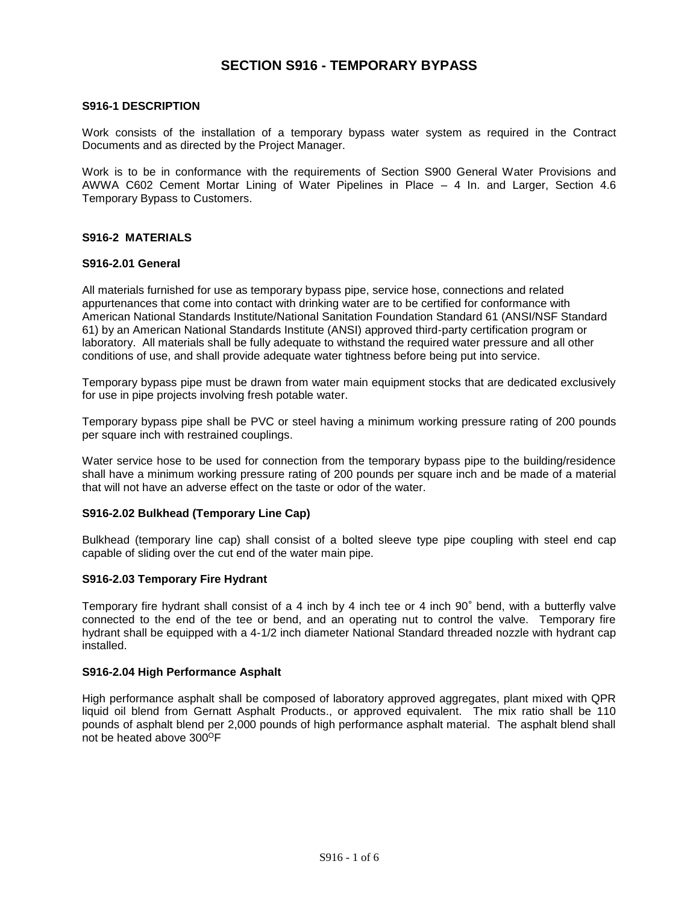# **SECTION S916 - TEMPORARY BYPASS**

## **S916-1 DESCRIPTION**

Work consists of the installation of a temporary bypass water system as required in the Contract Documents and as directed by the Project Manager.

Work is to be in conformance with the requirements of Section S900 General Water Provisions and AWWA C602 Cement Mortar Lining of Water Pipelines in Place – 4 In. and Larger, Section 4.6 Temporary Bypass to Customers.

## **S916-2 MATERIALS**

## **S916-2.01 General**

All materials furnished for use as temporary bypass pipe, service hose, connections and related appurtenances that come into contact with drinking water are to be certified for conformance with American National Standards Institute/National Sanitation Foundation Standard 61 (ANSI/NSF Standard 61) by an American National Standards Institute (ANSI) approved third-party certification program or laboratory. All materials shall be fully adequate to withstand the required water pressure and all other conditions of use, and shall provide adequate water tightness before being put into service.

Temporary bypass pipe must be drawn from water main equipment stocks that are dedicated exclusively for use in pipe projects involving fresh potable water.

Temporary bypass pipe shall be PVC or steel having a minimum working pressure rating of 200 pounds per square inch with restrained couplings.

Water service hose to be used for connection from the temporary bypass pipe to the building/residence shall have a minimum working pressure rating of 200 pounds per square inch and be made of a material that will not have an adverse effect on the taste or odor of the water.

## **S916-2.02 Bulkhead (Temporary Line Cap)**

Bulkhead (temporary line cap) shall consist of a bolted sleeve type pipe coupling with steel end cap capable of sliding over the cut end of the water main pipe.

#### **S916-2.03 Temporary Fire Hydrant**

Temporary fire hydrant shall consist of a 4 inch by 4 inch tee or 4 inch 90° bend, with a butterfly valve connected to the end of the tee or bend, and an operating nut to control the valve. Temporary fire hydrant shall be equipped with a 4-1/2 inch diameter National Standard threaded nozzle with hydrant cap installed.

## **S916-2.04 High Performance Asphalt**

High performance asphalt shall be composed of laboratory approved aggregates, plant mixed with QPR liquid oil blend from Gernatt Asphalt Products., or approved equivalent. The mix ratio shall be 110 pounds of asphalt blend per 2,000 pounds of high performance asphalt material. The asphalt blend shall not be heated above 300<sup>o</sup>F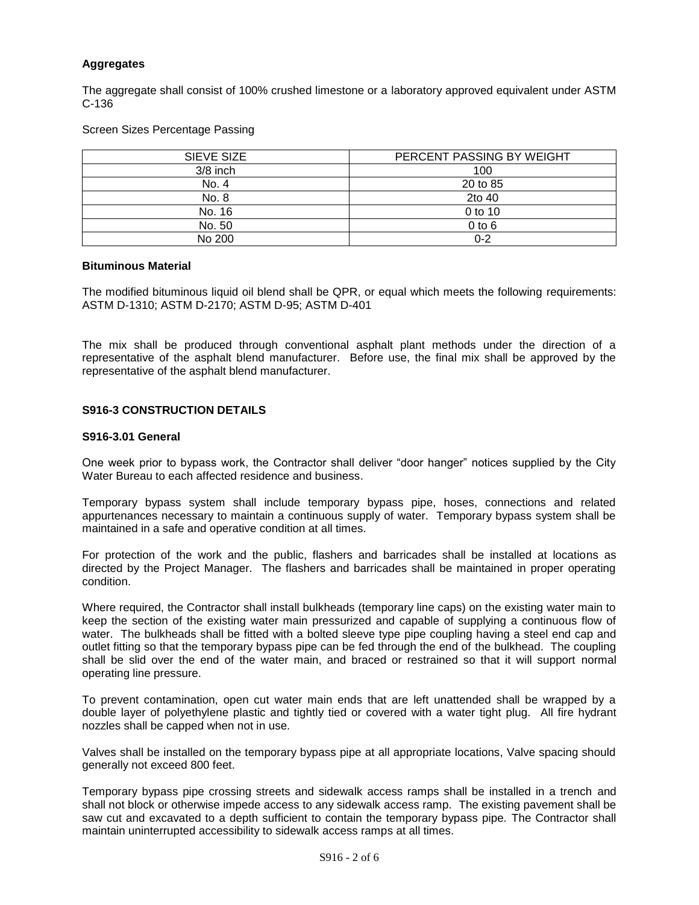## **Aggregates**

The aggregate shall consist of 100% crushed limestone or a laboratory approved equivalent under ASTM C-136

## Screen Sizes Percentage Passing

| SIEVE SIZE | PERCENT PASSING BY WEIGHT |  |
|------------|---------------------------|--|
| $3/8$ inch | 100                       |  |
| No. 4      | 20 to 85                  |  |
| No. 8      | 2to 40                    |  |
| No. 16     | 0 to 10                   |  |
| No. 50     | $0$ to $6$                |  |
| No 200     | $0 - 2$                   |  |

#### **Bituminous Material**

The modified bituminous liquid oil blend shall be QPR, or equal which meets the following requirements: ASTM D-1310; ASTM D-2170; ASTM D-95; ASTM D-401

The mix shall be produced through conventional asphalt plant methods under the direction of a representative of the asphalt blend manufacturer. Before use, the final mix shall be approved by the representative of the asphalt blend manufacturer.

## **S916-3 CONSTRUCTION DETAILS**

## **S916-3.01 General**

One week prior to bypass work, the Contractor shall deliver "door hanger" notices supplied by the City Water Bureau to each affected residence and business.

Temporary bypass system shall include temporary bypass pipe, hoses, connections and related appurtenances necessary to maintain a continuous supply of water. Temporary bypass system shall be maintained in a safe and operative condition at all times.

For protection of the work and the public, flashers and barricades shall be installed at locations as directed by the Project Manager. The flashers and barricades shall be maintained in proper operating condition.

Where required, the Contractor shall install bulkheads (temporary line caps) on the existing water main to keep the section of the existing water main pressurized and capable of supplying a continuous flow of water. The bulkheads shall be fitted with a bolted sleeve type pipe coupling having a steel end cap and outlet fitting so that the temporary bypass pipe can be fed through the end of the bulkhead. The coupling shall be slid over the end of the water main, and braced or restrained so that it will support normal operating line pressure.

To prevent contamination, open cut water main ends that are left unattended shall be wrapped by a double layer of polyethylene plastic and tightly tied or covered with a water tight plug. All fire hydrant nozzles shall be capped when not in use.

Valves shall be installed on the temporary bypass pipe at all appropriate locations, Valve spacing should generally not exceed 800 feet.

Temporary bypass pipe crossing streets and sidewalk access ramps shall be installed in a trench and shall not block or otherwise impede access to any sidewalk access ramp. The existing pavement shall be saw cut and excavated to a depth sufficient to contain the temporary bypass pipe. The Contractor shall maintain uninterrupted accessibility to sidewalk access ramps at all times.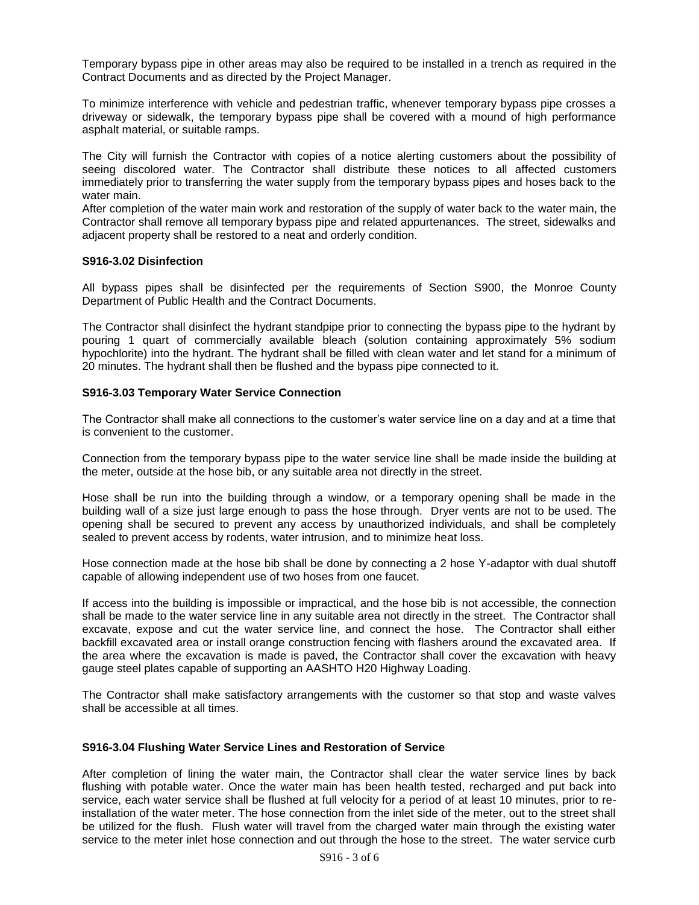Temporary bypass pipe in other areas may also be required to be installed in a trench as required in the Contract Documents and as directed by the Project Manager.

To minimize interference with vehicle and pedestrian traffic, whenever temporary bypass pipe crosses a driveway or sidewalk, the temporary bypass pipe shall be covered with a mound of high performance asphalt material, or suitable ramps.

The City will furnish the Contractor with copies of a notice alerting customers about the possibility of seeing discolored water. The Contractor shall distribute these notices to all affected customers immediately prior to transferring the water supply from the temporary bypass pipes and hoses back to the water main.

After completion of the water main work and restoration of the supply of water back to the water main, the Contractor shall remove all temporary bypass pipe and related appurtenances. The street, sidewalks and adjacent property shall be restored to a neat and orderly condition.

## **S916-3.02 Disinfection**

All bypass pipes shall be disinfected per the requirements of Section S900, the Monroe County Department of Public Health and the Contract Documents.

The Contractor shall disinfect the hydrant standpipe prior to connecting the bypass pipe to the hydrant by pouring 1 quart of commercially available bleach (solution containing approximately 5% sodium hypochlorite) into the hydrant. The hydrant shall be filled with clean water and let stand for a minimum of 20 minutes. The hydrant shall then be flushed and the bypass pipe connected to it.

## **S916-3.03 Temporary Water Service Connection**

The Contractor shall make all connections to the customer's water service line on a day and at a time that is convenient to the customer.

Connection from the temporary bypass pipe to the water service line shall be made inside the building at the meter, outside at the hose bib, or any suitable area not directly in the street.

Hose shall be run into the building through a window, or a temporary opening shall be made in the building wall of a size just large enough to pass the hose through. Dryer vents are not to be used. The opening shall be secured to prevent any access by unauthorized individuals, and shall be completely sealed to prevent access by rodents, water intrusion, and to minimize heat loss.

Hose connection made at the hose bib shall be done by connecting a 2 hose Y-adaptor with dual shutoff capable of allowing independent use of two hoses from one faucet.

If access into the building is impossible or impractical, and the hose bib is not accessible, the connection shall be made to the water service line in any suitable area not directly in the street. The Contractor shall excavate, expose and cut the water service line, and connect the hose. The Contractor shall either backfill excavated area or install orange construction fencing with flashers around the excavated area. If the area where the excavation is made is paved, the Contractor shall cover the excavation with heavy gauge steel plates capable of supporting an AASHTO H20 Highway Loading.

The Contractor shall make satisfactory arrangements with the customer so that stop and waste valves shall be accessible at all times.

#### **S916-3.04 Flushing Water Service Lines and Restoration of Service**

After completion of lining the water main, the Contractor shall clear the water service lines by back flushing with potable water. Once the water main has been health tested, recharged and put back into service, each water service shall be flushed at full velocity for a period of at least 10 minutes, prior to reinstallation of the water meter. The hose connection from the inlet side of the meter, out to the street shall be utilized for the flush. Flush water will travel from the charged water main through the existing water service to the meter inlet hose connection and out through the hose to the street. The water service curb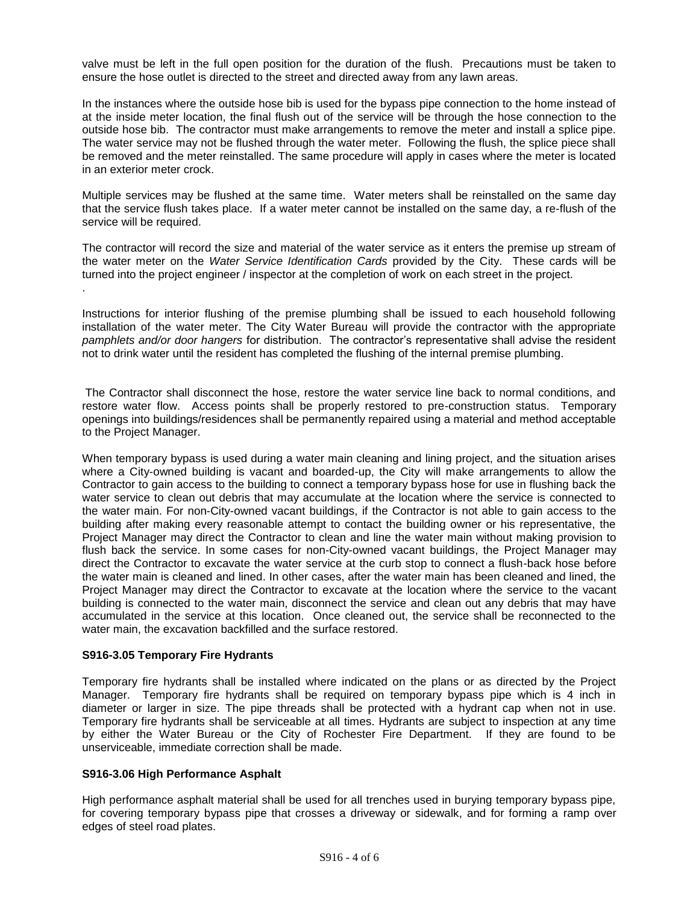valve must be left in the full open position for the duration of the flush. Precautions must be taken to ensure the hose outlet is directed to the street and directed away from any lawn areas.

In the instances where the outside hose bib is used for the bypass pipe connection to the home instead of at the inside meter location, the final flush out of the service will be through the hose connection to the outside hose bib. The contractor must make arrangements to remove the meter and install a splice pipe. The water service may not be flushed through the water meter. Following the flush, the splice piece shall be removed and the meter reinstalled. The same procedure will apply in cases where the meter is located in an exterior meter crock.

Multiple services may be flushed at the same time. Water meters shall be reinstalled on the same day that the service flush takes place. If a water meter cannot be installed on the same day, a re-flush of the service will be required.

The contractor will record the size and material of the water service as it enters the premise up stream of the water meter on the *Water Service Identification Cards* provided by the City. These cards will be turned into the project engineer / inspector at the completion of work on each street in the project. .

Instructions for interior flushing of the premise plumbing shall be issued to each household following installation of the water meter. The City Water Bureau will provide the contractor with the appropriate *pamphlets and/or door hangers* for distribution. The contractor's representative shall advise the resident not to drink water until the resident has completed the flushing of the internal premise plumbing.

The Contractor shall disconnect the hose, restore the water service line back to normal conditions, and restore water flow. Access points shall be properly restored to pre-construction status. Temporary openings into buildings/residences shall be permanently repaired using a material and method acceptable to the Project Manager.

When temporary bypass is used during a water main cleaning and lining project, and the situation arises where a City-owned building is vacant and boarded-up, the City will make arrangements to allow the Contractor to gain access to the building to connect a temporary bypass hose for use in flushing back the water service to clean out debris that may accumulate at the location where the service is connected to the water main. For non-City-owned vacant buildings, if the Contractor is not able to gain access to the building after making every reasonable attempt to contact the building owner or his representative, the Project Manager may direct the Contractor to clean and line the water main without making provision to flush back the service. In some cases for non-City-owned vacant buildings, the Project Manager may direct the Contractor to excavate the water service at the curb stop to connect a flush-back hose before the water main is cleaned and lined. In other cases, after the water main has been cleaned and lined, the Project Manager may direct the Contractor to excavate at the location where the service to the vacant building is connected to the water main, disconnect the service and clean out any debris that may have accumulated in the service at this location. Once cleaned out, the service shall be reconnected to the water main, the excavation backfilled and the surface restored.

## **S916-3.05 Temporary Fire Hydrants**

Temporary fire hydrants shall be installed where indicated on the plans or as directed by the Project Manager. Temporary fire hydrants shall be required on temporary bypass pipe which is 4 inch in diameter or larger in size. The pipe threads shall be protected with a hydrant cap when not in use. Temporary fire hydrants shall be serviceable at all times. Hydrants are subject to inspection at any time by either the Water Bureau or the City of Rochester Fire Department. If they are found to be unserviceable, immediate correction shall be made.

## **S916-3.06 High Performance Asphalt**

High performance asphalt material shall be used for all trenches used in burying temporary bypass pipe, for covering temporary bypass pipe that crosses a driveway or sidewalk, and for forming a ramp over edges of steel road plates.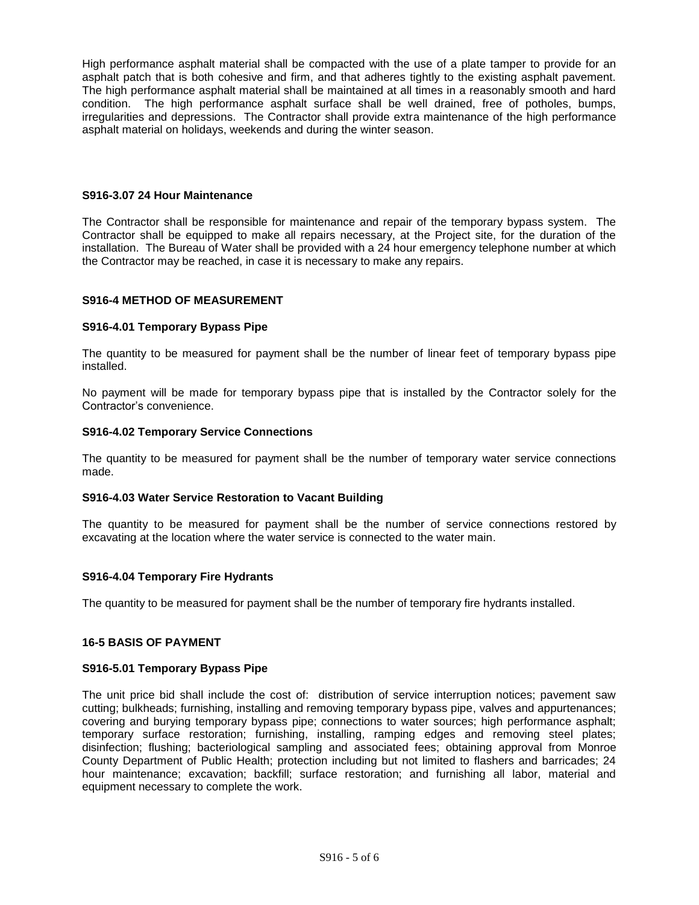High performance asphalt material shall be compacted with the use of a plate tamper to provide for an asphalt patch that is both cohesive and firm, and that adheres tightly to the existing asphalt pavement. The high performance asphalt material shall be maintained at all times in a reasonably smooth and hard condition. The high performance asphalt surface shall be well drained, free of potholes, bumps, irregularities and depressions. The Contractor shall provide extra maintenance of the high performance asphalt material on holidays, weekends and during the winter season.

## **S916-3.07 24 Hour Maintenance**

The Contractor shall be responsible for maintenance and repair of the temporary bypass system. The Contractor shall be equipped to make all repairs necessary, at the Project site, for the duration of the installation. The Bureau of Water shall be provided with a 24 hour emergency telephone number at which the Contractor may be reached, in case it is necessary to make any repairs.

## **S916-4 METHOD OF MEASUREMENT**

## **S916-4.01 Temporary Bypass Pipe**

The quantity to be measured for payment shall be the number of linear feet of temporary bypass pipe installed.

No payment will be made for temporary bypass pipe that is installed by the Contractor solely for the Contractor's convenience.

## **S916-4.02 Temporary Service Connections**

The quantity to be measured for payment shall be the number of temporary water service connections made.

## **S916-4.03 Water Service Restoration to Vacant Building**

The quantity to be measured for payment shall be the number of service connections restored by excavating at the location where the water service is connected to the water main.

#### **S916-4.04 Temporary Fire Hydrants**

The quantity to be measured for payment shall be the number of temporary fire hydrants installed.

## **16-5 BASIS OF PAYMENT**

#### **S916-5.01 Temporary Bypass Pipe**

The unit price bid shall include the cost of: distribution of service interruption notices; pavement saw cutting; bulkheads; furnishing, installing and removing temporary bypass pipe, valves and appurtenances; covering and burying temporary bypass pipe; connections to water sources; high performance asphalt; temporary surface restoration; furnishing, installing, ramping edges and removing steel plates; disinfection; flushing; bacteriological sampling and associated fees; obtaining approval from Monroe County Department of Public Health; protection including but not limited to flashers and barricades; 24 hour maintenance; excavation; backfill; surface restoration; and furnishing all labor, material and equipment necessary to complete the work.